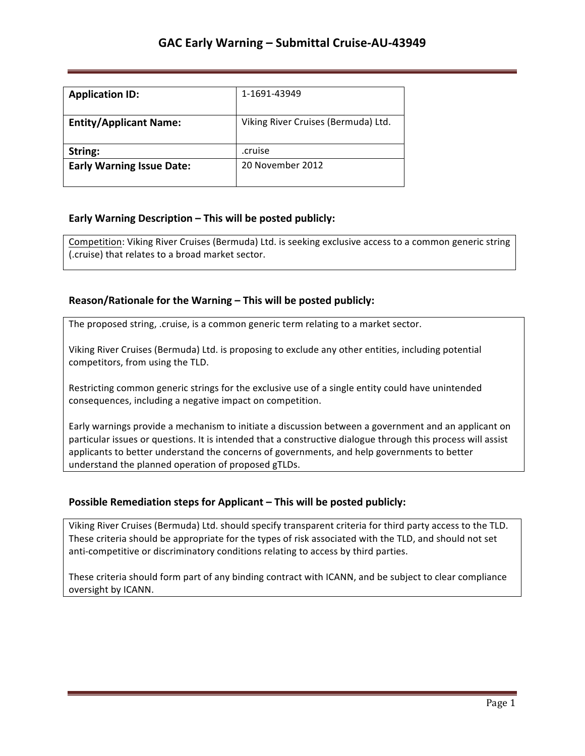| <b>Application ID:</b>           | 1-1691-43949                        |
|----------------------------------|-------------------------------------|
| <b>Entity/Applicant Name:</b>    | Viking River Cruises (Bermuda) Ltd. |
| String:                          | .cruise                             |
| <b>Early Warning Issue Date:</b> | 20 November 2012                    |

## **Early Warning Description – This will be posted publicly:**

Competition: Viking River Cruises (Bermuda) Ltd. is seeking exclusive access to a common generic string (.cruise) that relates to a broad market sector.

## **Reason/Rationale for the Warning – This will be posted publicly:**

The proposed string, .cruise, is a common generic term relating to a market sector.

Viking River Cruises (Bermuda) Ltd. is proposing to exclude any other entities, including potential competitors, from using the TLD.

Restricting common generic strings for the exclusive use of a single entity could have unintended consequences, including a negative impact on competition.

Early warnings provide a mechanism to initiate a discussion between a government and an applicant on particular issues or questions. It is intended that a constructive dialogue through this process will assist applicants to better understand the concerns of governments, and help governments to better understand the planned operation of proposed gTLDs.

## **Possible Remediation steps for Applicant – This will be posted publicly:**

Viking River Cruises (Bermuda) Ltd. should specify transparent criteria for third party access to the TLD. These criteria should be appropriate for the types of risk associated with the TLD, and should not set anti-competitive or discriminatory conditions relating to access by third parties.

These criteria should form part of any binding contract with ICANN, and be subject to clear compliance oversight by ICANN.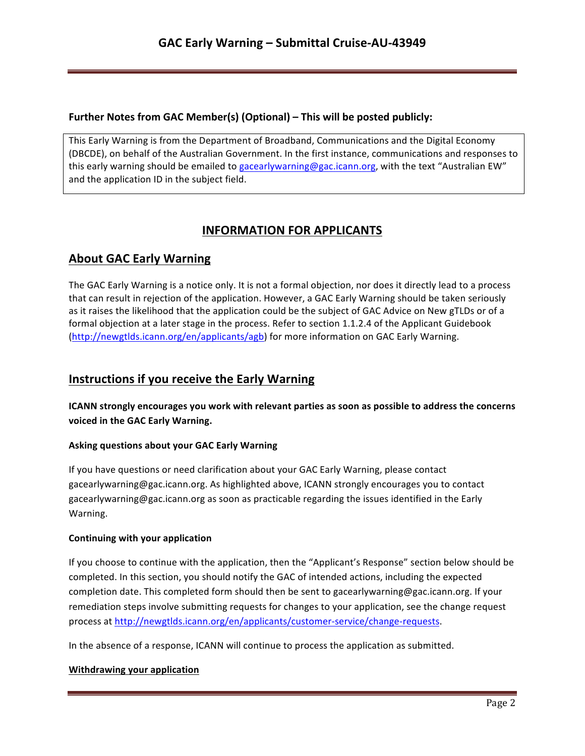### **Further Notes from GAC Member(s) (Optional) – This will be posted publicly:**

This Early Warning is from the Department of Broadband, Communications and the Digital Economy (DBCDE), on behalf of the Australian Government. In the first instance, communications and responses to this early warning should be emailed to gacearlywarning@gac.icann.org, with the text "Australian EW" and the application ID in the subject field.

# **INFORMATION FOR APPLICANTS**

## **About GAC Early Warning**

The GAC Early Warning is a notice only. It is not a formal objection, nor does it directly lead to a process that can result in rejection of the application. However, a GAC Early Warning should be taken seriously as it raises the likelihood that the application could be the subject of GAC Advice on New gTLDs or of a formal objection at a later stage in the process. Refer to section 1.1.2.4 of the Applicant Guidebook (http://newgtlds.icann.org/en/applicants/agb) for more information on GAC Early Warning.

## **Instructions if you receive the Early Warning**

**ICANN** strongly encourages you work with relevant parties as soon as possible to address the concerns voiced in the GAC Early Warning.

#### **Asking questions about your GAC Early Warning**

If you have questions or need clarification about your GAC Early Warning, please contact gacearlywarning@gac.icann.org. As highlighted above, ICANN strongly encourages you to contact gacearlywarning@gac.icann.org as soon as practicable regarding the issues identified in the Early Warning. 

#### **Continuing with your application**

If you choose to continue with the application, then the "Applicant's Response" section below should be completed. In this section, you should notify the GAC of intended actions, including the expected completion date. This completed form should then be sent to gacearlywarning@gac.icann.org. If your remediation steps involve submitting requests for changes to your application, see the change request process at http://newgtlds.icann.org/en/applicants/customer-service/change-requests.

In the absence of a response, ICANN will continue to process the application as submitted.

#### **Withdrawing your application**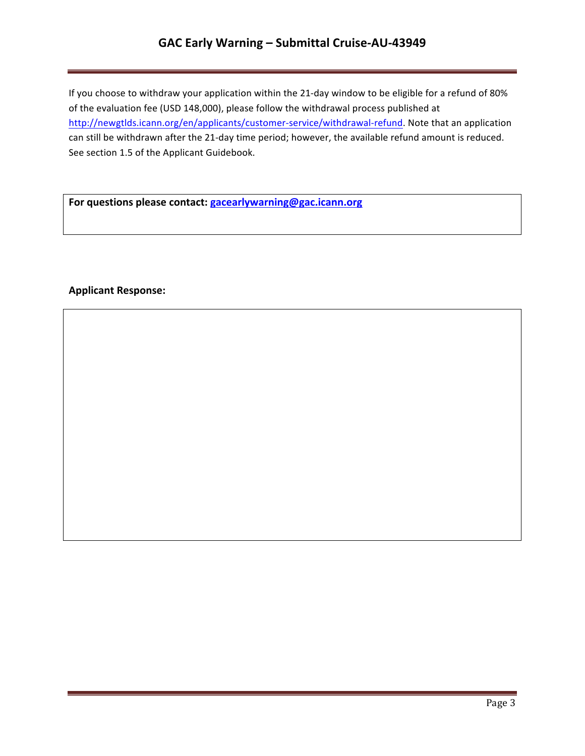# GAC Early Warning - Submittal Cruise-AU-43949

If you choose to withdraw your application within the 21-day window to be eligible for a refund of 80% of the evaluation fee (USD 148,000), please follow the withdrawal process published at http://newgtlds.icann.org/en/applicants/customer-service/withdrawal-refund. Note that an application can still be withdrawn after the 21-day time period; however, the available refund amount is reduced. See section 1.5 of the Applicant Guidebook.

For questions please contact: **gacearlywarning@gac.icann.org** 

### **Applicant Response:**